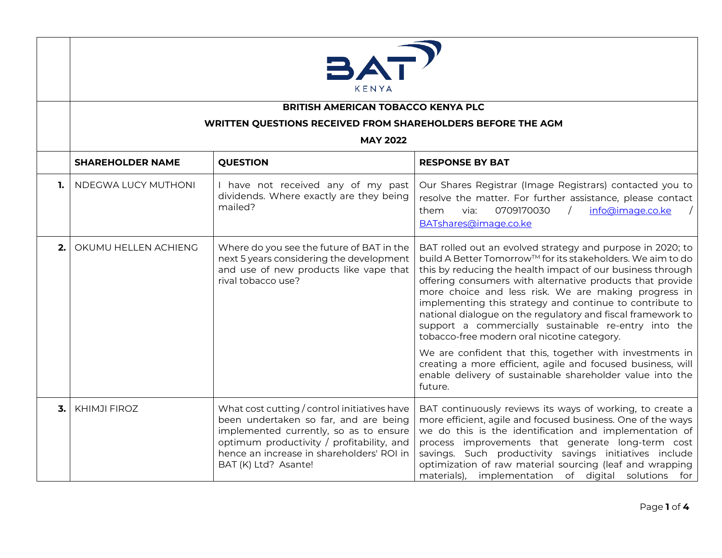

## **BRITISH AMERICAN TOBACCO KENYA PLC**

## **WRITTEN QUESTIONS RECEIVED FROM SHAREHOLDERS BEFORE THE AGM**

## **MAY 2022**

|      | <b>SHAREHOLDER NAME</b> | <b>QUESTION</b>                                                                                                                                                                                                                                   | <b>RESPONSE BY BAT</b>                                                                                                                                                                                                                                                                                                                                                                                                                                                                                                                                                                                                                                                                                                                            |
|------|-------------------------|---------------------------------------------------------------------------------------------------------------------------------------------------------------------------------------------------------------------------------------------------|---------------------------------------------------------------------------------------------------------------------------------------------------------------------------------------------------------------------------------------------------------------------------------------------------------------------------------------------------------------------------------------------------------------------------------------------------------------------------------------------------------------------------------------------------------------------------------------------------------------------------------------------------------------------------------------------------------------------------------------------------|
| 1. I | NDEGWA LUCY MUTHONI     | I have not received any of my past<br>dividends. Where exactly are they being<br>mailed?                                                                                                                                                          | Our Shares Registrar (Image Registrars) contacted you to<br>resolve the matter. For further assistance, please contact<br>info@image.co.ke<br>0709170030<br>via:<br>them<br>BATshares@image.co.ke                                                                                                                                                                                                                                                                                                                                                                                                                                                                                                                                                 |
| 2.1  | OKUMU HELLEN ACHIENG    | Where do you see the future of BAT in the<br>next 5 years considering the development<br>and use of new products like vape that<br>rival tobacco use?                                                                                             | BAT rolled out an evolved strategy and purpose in 2020; to<br>build A Better Tomorrow™ for its stakeholders. We aim to do<br>this by reducing the health impact of our business through<br>offering consumers with alternative products that provide<br>more choice and less risk. We are making progress in<br>implementing this strategy and continue to contribute to<br>national dialogue on the regulatory and fiscal framework to<br>support a commercially sustainable re-entry into the<br>tobacco-free modern oral nicotine category.<br>We are confident that this, together with investments in<br>creating a more efficient, agile and focused business, will<br>enable delivery of sustainable shareholder value into the<br>future. |
| 3.1  | <b>KHIMJI FIROZ</b>     | What cost cutting / control initiatives have<br>been undertaken so far, and are being<br>implemented currently, so as to ensure<br>optimum productivity / profitability, and<br>hence an increase in shareholders' ROI in<br>BAT (K) Ltd? Asante! | BAT continuously reviews its ways of working, to create a<br>more efficient, agile and focused business. One of the ways<br>we do this is the identification and implementation of<br>process improvements that generate long-term cost<br>savings. Such productivity savings initiatives include<br>optimization of raw material sourcing (leaf and wrapping<br>materials), implementation of digital solutions for                                                                                                                                                                                                                                                                                                                              |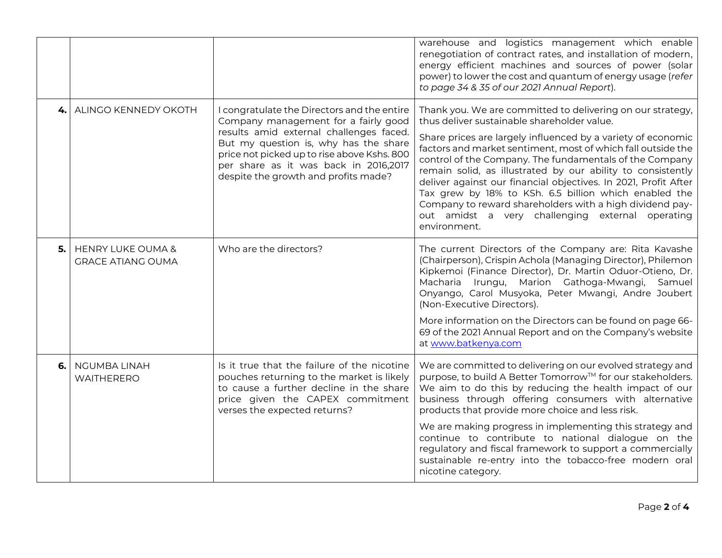|      |                                                          |                                                                                                                                                                                                                                                                                                         | warehouse and logistics management which enable<br>renegotiation of contract rates, and installation of modern,<br>energy efficient machines and sources of power (solar<br>power) to lower the cost and quantum of energy usage (refer<br>to page 34 & 35 of our 2021 Annual Report).                                                                                                                                                                                                                                                                                                                                          |
|------|----------------------------------------------------------|---------------------------------------------------------------------------------------------------------------------------------------------------------------------------------------------------------------------------------------------------------------------------------------------------------|---------------------------------------------------------------------------------------------------------------------------------------------------------------------------------------------------------------------------------------------------------------------------------------------------------------------------------------------------------------------------------------------------------------------------------------------------------------------------------------------------------------------------------------------------------------------------------------------------------------------------------|
| 4. l | ALINGO KENNEDY OKOTH                                     | I congratulate the Directors and the entire<br>Company management for a fairly good<br>results amid external challenges faced.<br>But my question is, why has the share<br>price not picked up to rise above Kshs. 800<br>per share as it was back in 2016,2017<br>despite the growth and profits made? | Thank you. We are committed to delivering on our strategy,<br>thus deliver sustainable shareholder value.<br>Share prices are largely influenced by a variety of economic<br>factors and market sentiment, most of which fall outside the<br>control of the Company. The fundamentals of the Company<br>remain solid, as illustrated by our ability to consistently<br>deliver against our financial objectives. In 2021, Profit After<br>Tax grew by 18% to KSh. 6.5 billion which enabled the<br>Company to reward shareholders with a high dividend pay-<br>out amidst a very challenging external operating<br>environment. |
| 5.1  | <b>HENRY LUKE OUMA &amp;</b><br><b>GRACE ATIANG OUMA</b> | Who are the directors?                                                                                                                                                                                                                                                                                  | The current Directors of the Company are: Rita Kavashe<br>(Chairperson), Crispin Achola (Managing Director), Philemon<br>Kipkemoi (Finance Director), Dr. Martin Oduor-Otieno, Dr.<br>Macharia Irungu, Marion Gathoga-Mwangi, Samuel<br>Onyango, Carol Musyoka, Peter Mwangi, Andre Joubert<br>(Non-Executive Directors).<br>More information on the Directors can be found on page 66-<br>69 of the 2021 Annual Report and on the Company's website                                                                                                                                                                            |
|      |                                                          |                                                                                                                                                                                                                                                                                                         | at www.batkenya.com                                                                                                                                                                                                                                                                                                                                                                                                                                                                                                                                                                                                             |
| 6.   | <b>NGUMBA LINAH</b><br>WAITHERERO                        | Is it true that the failure of the nicotine<br>pouches returning to the market is likely<br>to cause a further decline in the share<br>price given the CAPEX commitment<br>verses the expected returns?                                                                                                 | We are committed to delivering on our evolved strategy and<br>purpose, to build A Better Tomorrow™ for our stakeholders.<br>We aim to do this by reducing the health impact of our<br>business through offering consumers with alternative<br>products that provide more choice and less risk.                                                                                                                                                                                                                                                                                                                                  |
|      |                                                          |                                                                                                                                                                                                                                                                                                         | We are making progress in implementing this strategy and<br>continue to contribute to national dialogue on the<br>regulatory and fiscal framework to support a commercially<br>sustainable re-entry into the tobacco-free modern oral<br>nicotine category.                                                                                                                                                                                                                                                                                                                                                                     |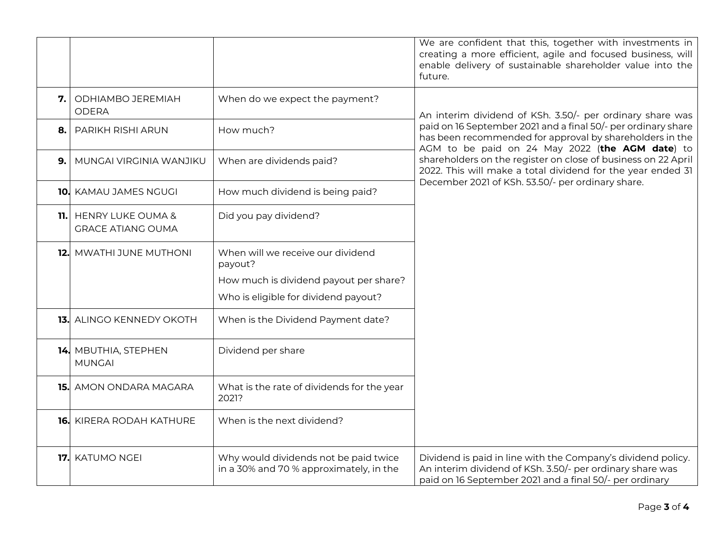|     |                                                          |                                                                                  | We are confident that this, together with investments in<br>creating a more efficient, agile and focused business, will<br>enable delivery of sustainable shareholder value into the<br>future.                                                                                                                                                                           |
|-----|----------------------------------------------------------|----------------------------------------------------------------------------------|---------------------------------------------------------------------------------------------------------------------------------------------------------------------------------------------------------------------------------------------------------------------------------------------------------------------------------------------------------------------------|
| 7.  | ODHIAMBO JEREMIAH<br><b>ODERA</b>                        | When do we expect the payment?                                                   | An interim dividend of KSh. 3.50/- per ordinary share was<br>paid on 16 September 2021 and a final 50/- per ordinary share<br>has been recommended for approval by shareholders in the<br>AGM to be paid on 24 May 2022 (the AGM date) to<br>shareholders on the register on close of business on 22 April<br>2022. This will make a total dividend for the year ended 31 |
| 8.  | <b>PARIKH RISHI ARUN</b>                                 | How much?                                                                        |                                                                                                                                                                                                                                                                                                                                                                           |
| 9.  | MUNGAI VIRGINIA WANJIKU                                  | When are dividends paid?                                                         |                                                                                                                                                                                                                                                                                                                                                                           |
| 10. | KAMAU JAMES NGUGI                                        | How much dividend is being paid?                                                 | December 2021 of KSh. 53.50/- per ordinary share.                                                                                                                                                                                                                                                                                                                         |
| 11. | <b>HENRY LUKE OUMA &amp;</b><br><b>GRACE ATIANG OUMA</b> | Did you pay dividend?                                                            |                                                                                                                                                                                                                                                                                                                                                                           |
| 12. | MWATHI JUNE MUTHONI                                      | When will we receive our dividend<br>payout?                                     |                                                                                                                                                                                                                                                                                                                                                                           |
|     |                                                          | How much is dividend payout per share?<br>Who is eligible for dividend payout?   |                                                                                                                                                                                                                                                                                                                                                                           |
| 13. | ALINGO KENNEDY OKOTH                                     | When is the Dividend Payment date?                                               |                                                                                                                                                                                                                                                                                                                                                                           |
|     | 14. MBUTHIA, STEPHEN<br><b>MUNGAI</b>                    | Dividend per share                                                               |                                                                                                                                                                                                                                                                                                                                                                           |
| 15. | AMON ONDARA MAGARA                                       | What is the rate of dividends for the year<br>2021?                              |                                                                                                                                                                                                                                                                                                                                                                           |
| 16. | KIRERA RODAH KATHURE                                     | When is the next dividend?                                                       |                                                                                                                                                                                                                                                                                                                                                                           |
| 17. | <b>KATUMO NGEI</b>                                       | Why would dividends not be paid twice<br>in a 30% and 70 % approximately, in the | Dividend is paid in line with the Company's dividend policy.<br>An interim dividend of KSh. 3.50/- per ordinary share was<br>paid on 16 September 2021 and a final 50/- per ordinary                                                                                                                                                                                      |